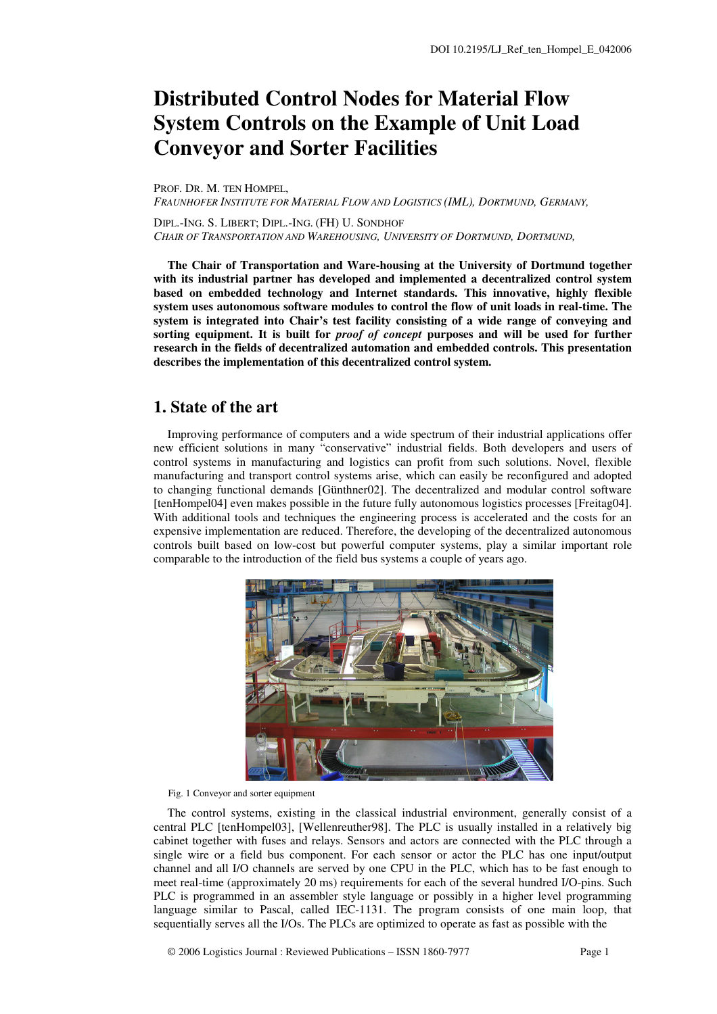# **Distributed Control Nodes for Material Flow System Controls on the Example of Unit Load Conveyor and Sorter Facilities**

PROF. DR. M. TEN HOMPEL, *FRAUNHOFER INSTITUTE FOR MATERIAL FLOW AND LOGISTICS (IML), DORTMUND, GERMANY,* 

DIPL.-ING. S. LIBERT; DIPL.-ING. (FH) U. SONDHOF *CHAIR OF TRANSPORTATION AND WAREHOUSING, UNIVERSITY OF DORTMUND, DORTMUND,* 

**The Chair of Transportation and Ware-housing at the University of Dortmund together with its industrial partner has developed and implemented a decentralized control system based on embedded technology and Internet standards. This innovative, highly flexible system uses autonomous software modules to control the flow of unit loads in real-time. The system is integrated into Chair's test facility consisting of a wide range of conveying and sorting equipment. It is built for** *proof of concept* **purposes and will be used for further research in the fields of decentralized automation and embedded controls. This presentation describes the implementation of this decentralized control system.** 

## **1. State of the art**

Improving performance of computers and a wide spectrum of their industrial applications offer new efficient solutions in many "conservative" industrial fields. Both developers and users of control systems in manufacturing and logistics can profit from such solutions. Novel, flexible manufacturing and transport control systems arise, which can easily be reconfigured and adopted to changing functional demands [Günthner02]. The decentralized and modular control software [tenHompel04] even makes possible in the future fully autonomous logistics processes [Freitag04]. With additional tools and techniques the engineering process is accelerated and the costs for an expensive implementation are reduced. Therefore, the developing of the decentralized autonomous controls built based on low-cost but powerful computer systems, play a similar important role comparable to the introduction of the field bus systems a couple of years ago.



Fig. 1 Conveyor and sorter equipment

The control systems, existing in the classical industrial environment, generally consist of a central PLC [tenHompel03], [Wellenreuther98]. The PLC is usually installed in a relatively big cabinet together with fuses and relays. Sensors and actors are connected with the PLC through a single wire or a field bus component. For each sensor or actor the PLC has one input/output channel and all I/O channels are served by one CPU in the PLC, which has to be fast enough to meet real-time (approximately 20 ms) requirements for each of the several hundred I/O-pins. Such PLC is programmed in an assembler style language or possibly in a higher level programming language similar to Pascal, called IEC-1131. The program consists of one main loop, that sequentially serves all the I/Os. The PLCs are optimized to operate as fast as possible with the

© 2006 Logistics Journal : Reviewed Publications – ISSN 1860-7977 Page 1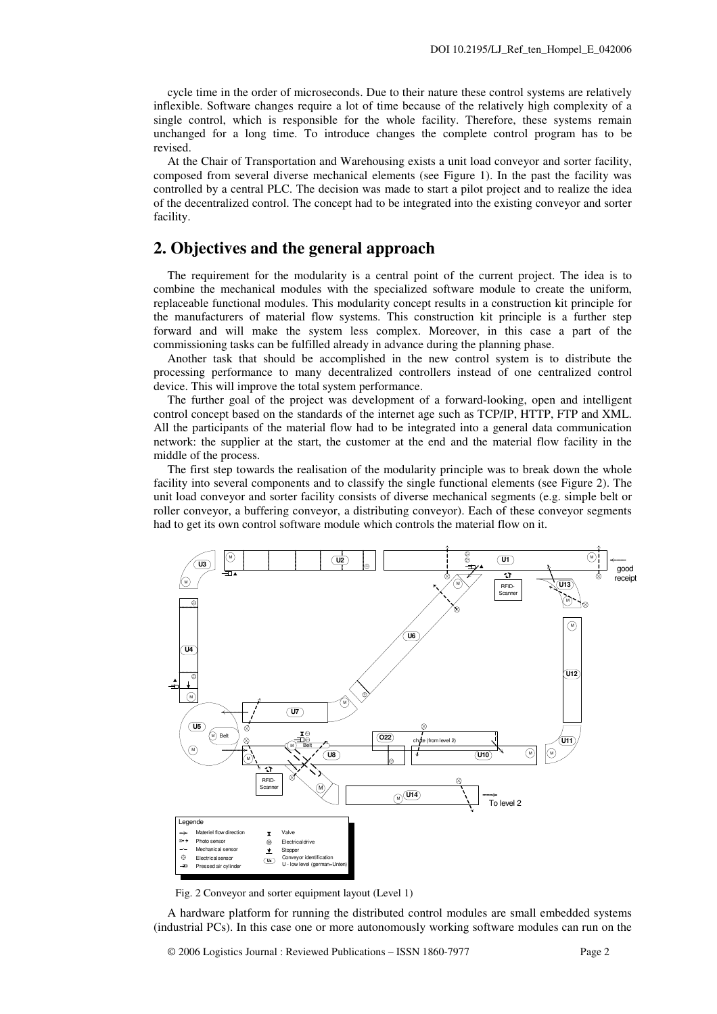cycle time in the order of microseconds. Due to their nature these control systems are relatively inflexible. Software changes require a lot of time because of the relatively high complexity of a single control, which is responsible for the whole facility. Therefore, these systems remain unchanged for a long time. To introduce changes the complete control program has to be revised.

At the Chair of Transportation and Warehousing exists a unit load conveyor and sorter facility, composed from several diverse mechanical elements (see Figure 1). In the past the facility was controlled by a central PLC. The decision was made to start a pilot project and to realize the idea of the decentralized control. The concept had to be integrated into the existing conveyor and sorter facility.

## **2. Objectives and the general approach**

The requirement for the modularity is a central point of the current project. The idea is to combine the mechanical modules with the specialized software module to create the uniform, replaceable functional modules. This modularity concept results in a construction kit principle for the manufacturers of material flow systems. This construction kit principle is a further step forward and will make the system less complex. Moreover, in this case a part of the commissioning tasks can be fulfilled already in advance during the planning phase.

Another task that should be accomplished in the new control system is to distribute the processing performance to many decentralized controllers instead of one centralized control device. This will improve the total system performance.

The further goal of the project was development of a forward-looking, open and intelligent control concept based on the standards of the internet age such as TCP/IP, HTTP, FTP and XML. All the participants of the material flow had to be integrated into a general data communication network: the supplier at the start, the customer at the end and the material flow facility in the middle of the process.

The first step towards the realisation of the modularity principle was to break down the whole facility into several components and to classify the single functional elements (see Figure 2). The unit load conveyor and sorter facility consists of diverse mechanical segments (e.g. simple belt or roller conveyor, a buffering conveyor, a distributing conveyor). Each of these conveyor segments had to get its own control software module which controls the material flow on it.



Fig. 2 Conveyor and sorter equipment layout (Level 1)

A hardware platform for running the distributed control modules are small embedded systems (industrial PCs). In this case one or more autonomously working software modules can run on the

© 2006 Logistics Journal : Reviewed Publications – ISSN 1860-7977 Page 2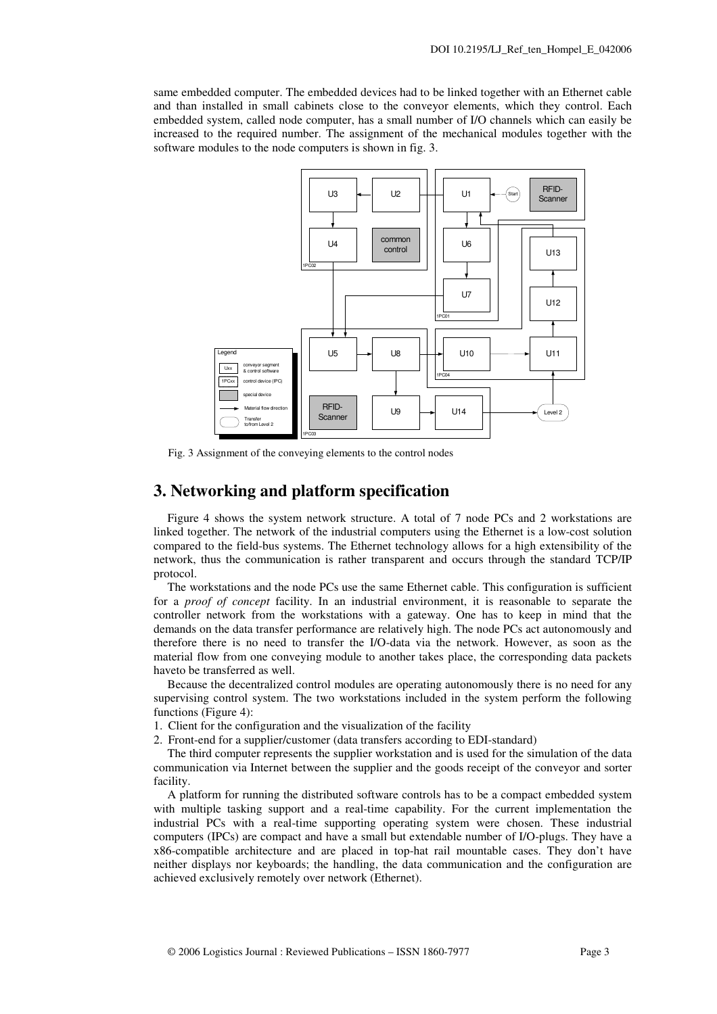same embedded computer. The embedded devices had to be linked together with an Ethernet cable and than installed in small cabinets close to the conveyor elements, which they control. Each embedded system, called node computer, has a small number of I/O channels which can easily be increased to the required number. The assignment of the mechanical modules together with the software modules to the node computers is shown in fig. 3.



Fig. 3 Assignment of the conveying elements to the control nodes

#### **3. Networking and platform specification**

Figure 4 shows the system network structure. A total of 7 node PCs and 2 workstations are linked together. The network of the industrial computers using the Ethernet is a low-cost solution compared to the field-bus systems. The Ethernet technology allows for a high extensibility of the network, thus the communication is rather transparent and occurs through the standard TCP/IP protocol.

The workstations and the node PCs use the same Ethernet cable. This configuration is sufficient for a *proof of concept* facility. In an industrial environment, it is reasonable to separate the controller network from the workstations with a gateway. One has to keep in mind that the demands on the data transfer performance are relatively high. The node PCs act autonomously and therefore there is no need to transfer the I/O-data via the network. However, as soon as the material flow from one conveying module to another takes place, the corresponding data packets haveto be transferred as well.

Because the decentralized control modules are operating autonomously there is no need for any supervising control system. The two workstations included in the system perform the following functions (Figure 4):

1. Client for the configuration and the visualization of the facility

2. Front-end for a supplier/customer (data transfers according to EDI-standard)

The third computer represents the supplier workstation and is used for the simulation of the data communication via Internet between the supplier and the goods receipt of the conveyor and sorter facility.

A platform for running the distributed software controls has to be a compact embedded system with multiple tasking support and a real-time capability. For the current implementation the industrial PCs with a real-time supporting operating system were chosen. These industrial computers (IPCs) are compact and have a small but extendable number of I/O-plugs. They have a x86-compatible architecture and are placed in top-hat rail mountable cases. They don't have neither displays nor keyboards; the handling, the data communication and the configuration are achieved exclusively remotely over network (Ethernet).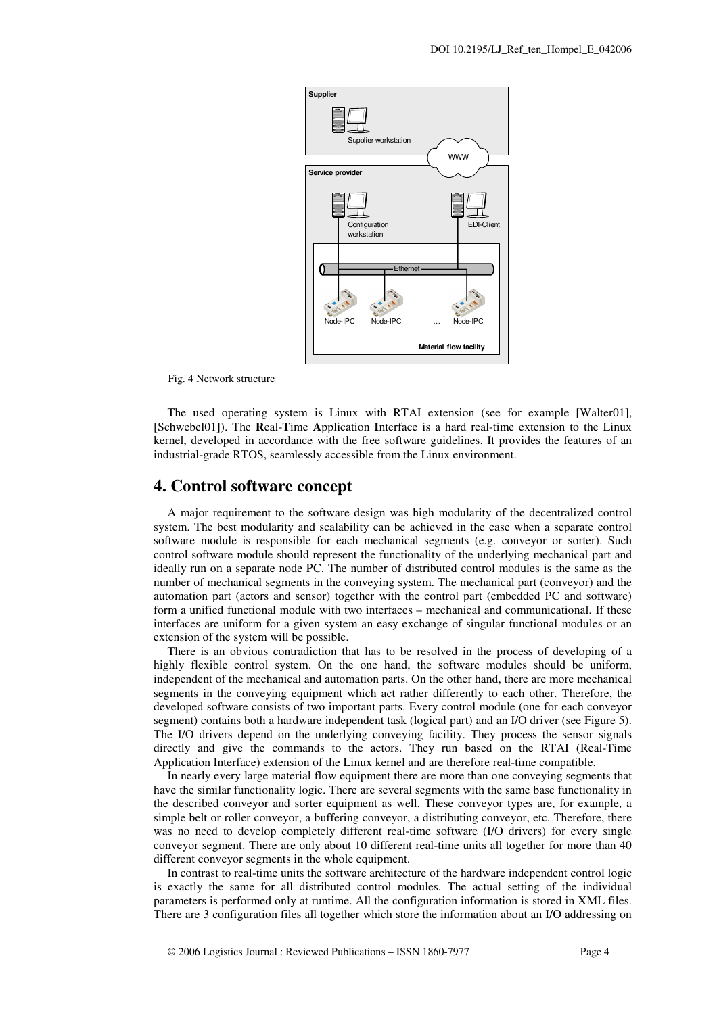

Fig. 4 Network structure

The used operating system is Linux with RTAI extension (see for example [Walter01], [Schwebel01]). The **R**eal-**T**ime **A**pplication **I**nterface is a hard real-time extension to the Linux kernel, developed in accordance with the free software guidelines. It provides the features of an industrial-grade RTOS, seamlessly accessible from the Linux environment.

#### **4. Control software concept**

A major requirement to the software design was high modularity of the decentralized control system. The best modularity and scalability can be achieved in the case when a separate control software module is responsible for each mechanical segments (e.g. conveyor or sorter). Such control software module should represent the functionality of the underlying mechanical part and ideally run on a separate node PC. The number of distributed control modules is the same as the number of mechanical segments in the conveying system. The mechanical part (conveyor) and the automation part (actors and sensor) together with the control part (embedded PC and software) form a unified functional module with two interfaces – mechanical and communicational. If these interfaces are uniform for a given system an easy exchange of singular functional modules or an extension of the system will be possible.

There is an obvious contradiction that has to be resolved in the process of developing of a highly flexible control system. On the one hand, the software modules should be uniform, independent of the mechanical and automation parts. On the other hand, there are more mechanical segments in the conveying equipment which act rather differently to each other. Therefore, the developed software consists of two important parts. Every control module (one for each conveyor segment) contains both a hardware independent task (logical part) and an I/O driver (see Figure 5). The I/O drivers depend on the underlying conveying facility. They process the sensor signals directly and give the commands to the actors. They run based on the RTAI (Real-Time Application Interface) extension of the Linux kernel and are therefore real-time compatible.

In nearly every large material flow equipment there are more than one conveying segments that have the similar functionality logic. There are several segments with the same base functionality in the described conveyor and sorter equipment as well. These conveyor types are, for example, a simple belt or roller conveyor, a buffering conveyor, a distributing conveyor, etc. Therefore, there was no need to develop completely different real-time software (I/O drivers) for every single conveyor segment. There are only about 10 different real-time units all together for more than 40 different conveyor segments in the whole equipment.

In contrast to real-time units the software architecture of the hardware independent control logic is exactly the same for all distributed control modules. The actual setting of the individual parameters is performed only at runtime. All the configuration information is stored in XML files. There are 3 configuration files all together which store the information about an I/O addressing on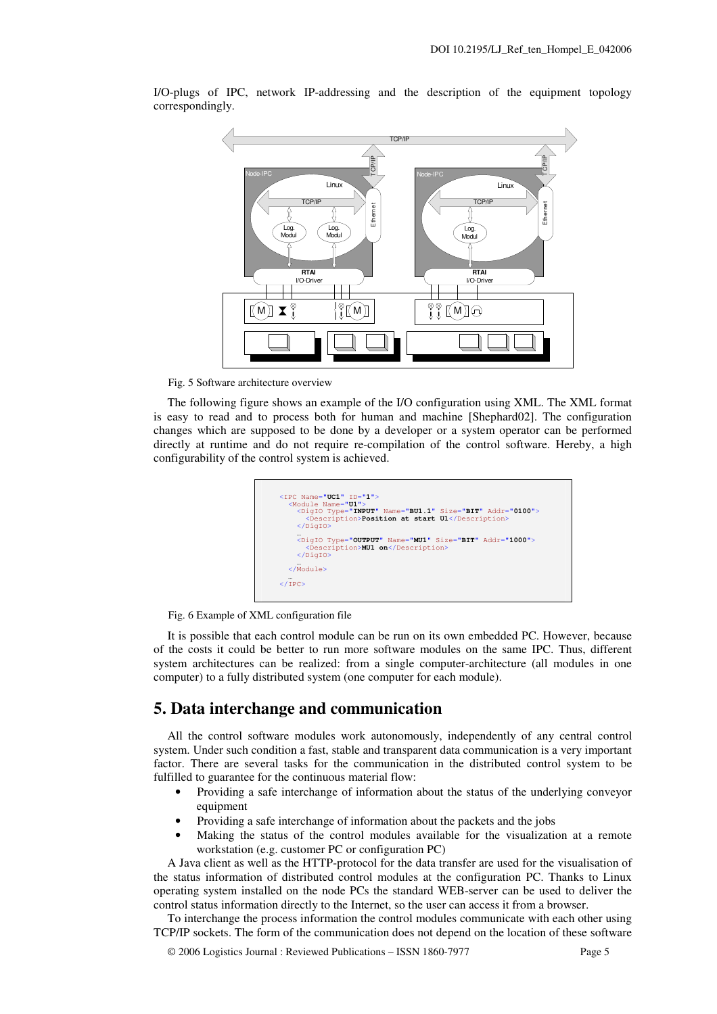

I/O-plugs of IPC, network IP-addressing and the description of the equipment topology correspondingly.

Fig. 5 Software architecture overview

The following figure shows an example of the I/O configuration using XML. The XML format is easy to read and to process both for human and machine [Shephard02]. The configuration changes which are supposed to be done by a developer or a system operator can be performed directly at runtime and do not require re-compilation of the control software. Hereby, a high configurability of the control system is achieved.



Fig. 6 Example of XML configuration file

It is possible that each control module can be run on its own embedded PC. However, because of the costs it could be better to run more software modules on the same IPC. Thus, different system architectures can be realized: from a single computer-architecture (all modules in one computer) to a fully distributed system (one computer for each module).

## **5. Data interchange and communication**

All the control software modules work autonomously, independently of any central control system. Under such condition a fast, stable and transparent data communication is a very important factor. There are several tasks for the communication in the distributed control system to be fulfilled to guarantee for the continuous material flow:

- Providing a safe interchange of information about the status of the underlying conveyor equipment
- Providing a safe interchange of information about the packets and the jobs
- Making the status of the control modules available for the visualization at a remote workstation (e.g. customer PC or configuration PC)

A Java client as well as the HTTP-protocol for the data transfer are used for the visualisation of the status information of distributed control modules at the configuration PC. Thanks to Linux operating system installed on the node PCs the standard WEB-server can be used to deliver the control status information directly to the Internet, so the user can access it from a browser.

To interchange the process information the control modules communicate with each other using TCP/IP sockets. The form of the communication does not depend on the location of these software

© 2006 Logistics Journal : Reviewed Publications – ISSN 1860-7977 Page 5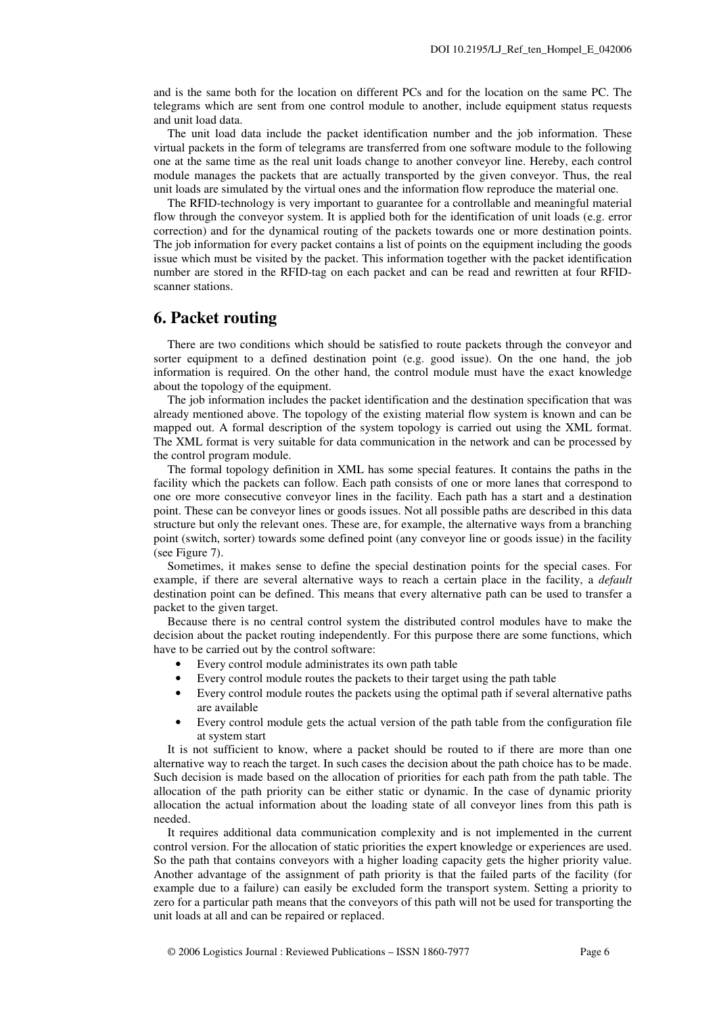and is the same both for the location on different PCs and for the location on the same PC. The telegrams which are sent from one control module to another, include equipment status requests and unit load data.

The unit load data include the packet identification number and the job information. These virtual packets in the form of telegrams are transferred from one software module to the following one at the same time as the real unit loads change to another conveyor line. Hereby, each control module manages the packets that are actually transported by the given conveyor. Thus, the real unit loads are simulated by the virtual ones and the information flow reproduce the material one.

The RFID-technology is very important to guarantee for a controllable and meaningful material flow through the conveyor system. It is applied both for the identification of unit loads (e.g. error correction) and for the dynamical routing of the packets towards one or more destination points. The job information for every packet contains a list of points on the equipment including the goods issue which must be visited by the packet. This information together with the packet identification number are stored in the RFID-tag on each packet and can be read and rewritten at four RFIDscanner stations.

#### **6. Packet routing**

There are two conditions which should be satisfied to route packets through the conveyor and sorter equipment to a defined destination point (e.g. good issue). On the one hand, the job information is required. On the other hand, the control module must have the exact knowledge about the topology of the equipment.

The job information includes the packet identification and the destination specification that was already mentioned above. The topology of the existing material flow system is known and can be mapped out. A formal description of the system topology is carried out using the XML format. The XML format is very suitable for data communication in the network and can be processed by the control program module.

The formal topology definition in XML has some special features. It contains the paths in the facility which the packets can follow. Each path consists of one or more lanes that correspond to one ore more consecutive conveyor lines in the facility. Each path has a start and a destination point. These can be conveyor lines or goods issues. Not all possible paths are described in this data structure but only the relevant ones. These are, for example, the alternative ways from a branching point (switch, sorter) towards some defined point (any conveyor line or goods issue) in the facility (see Figure 7).

Sometimes, it makes sense to define the special destination points for the special cases. For example, if there are several alternative ways to reach a certain place in the facility, a *default* destination point can be defined. This means that every alternative path can be used to transfer a packet to the given target.

Because there is no central control system the distributed control modules have to make the decision about the packet routing independently. For this purpose there are some functions, which have to be carried out by the control software:

- Every control module administrates its own path table
- Every control module routes the packets to their target using the path table
- Every control module routes the packets using the optimal path if several alternative paths are available
- Every control module gets the actual version of the path table from the configuration file at system start

It is not sufficient to know, where a packet should be routed to if there are more than one alternative way to reach the target. In such cases the decision about the path choice has to be made. Such decision is made based on the allocation of priorities for each path from the path table. The allocation of the path priority can be either static or dynamic. In the case of dynamic priority allocation the actual information about the loading state of all conveyor lines from this path is needed.

It requires additional data communication complexity and is not implemented in the current control version. For the allocation of static priorities the expert knowledge or experiences are used. So the path that contains conveyors with a higher loading capacity gets the higher priority value. Another advantage of the assignment of path priority is that the failed parts of the facility (for example due to a failure) can easily be excluded form the transport system. Setting a priority to zero for a particular path means that the conveyors of this path will not be used for transporting the unit loads at all and can be repaired or replaced.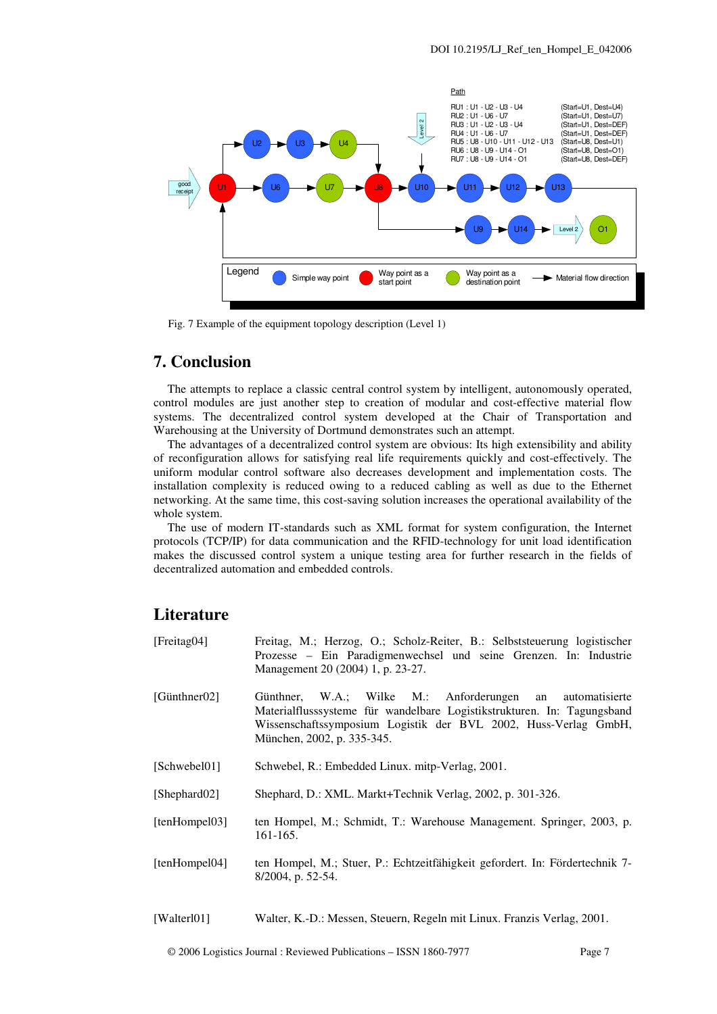

Fig. 7 Example of the equipment topology description (Level 1)

# **7. Conclusion**

The attempts to replace a classic central control system by intelligent, autonomously operated, control modules are just another step to creation of modular and cost-effective material flow systems. The decentralized control system developed at the Chair of Transportation and Warehousing at the University of Dortmund demonstrates such an attempt.

The advantages of a decentralized control system are obvious: Its high extensibility and ability of reconfiguration allows for satisfying real life requirements quickly and cost-effectively. The uniform modular control software also decreases development and implementation costs. The installation complexity is reduced owing to a reduced cabling as well as due to the Ethernet networking. At the same time, this cost-saving solution increases the operational availability of the whole system.

The use of modern IT-standards such as XML format for system configuration, the Internet protocols (TCP/IP) for data communication and the RFID-technology for unit load identification makes the discussed control system a unique testing area for further research in the fields of decentralized automation and embedded controls.

## **Literature**

| [Freitag04]          | Freitag, M.; Herzog, O.; Scholz-Reiter, B.: Selbststeuerung logistischer<br>Prozesse – Ein Paradigmenwechsel und seine Grenzen. In: Industrie<br>Management 20 (2004) 1, p. 23-27.                                                       |
|----------------------|------------------------------------------------------------------------------------------------------------------------------------------------------------------------------------------------------------------------------------------|
| [ $G$ ünthner $02$ ] | W.A.; Wilke M.: Anforderungen an automatisierte<br>Günthner.<br>Materialflusssysteme für wandelbare Logistikstrukturen. In: Tagungsband<br>Wissenschaftssymposium Logistik der BVL 2002, Huss-Verlag GmbH,<br>München, 2002, p. 335-345. |
| [Schwebel01]         | Schwebel, R.: Embedded Linux. mitp-Verlag, 2001.                                                                                                                                                                                         |
| [Shephard02]         | Shephard, D.: XML. Markt+Technik Verlag, 2002, p. 301-326.                                                                                                                                                                               |
| [tenHompel03]        | ten Hompel, M.; Schmidt, T.: Warehouse Management. Springer, 2003, p.<br>161-165.                                                                                                                                                        |
| [tenHompel04]        | ten Hompel, M.; Stuer, P.: Echtzeitfähigkeit gefordert. In: Fördertechnik 7-<br>8/2004, p. 52-54.                                                                                                                                        |
| $TTTT$ 1. $1047$     |                                                                                                                                                                                                                                          |

[Walterl01] Walter, K.-D.: Messen, Steuern, Regeln mit Linux. Franzis Verlag, 2001.